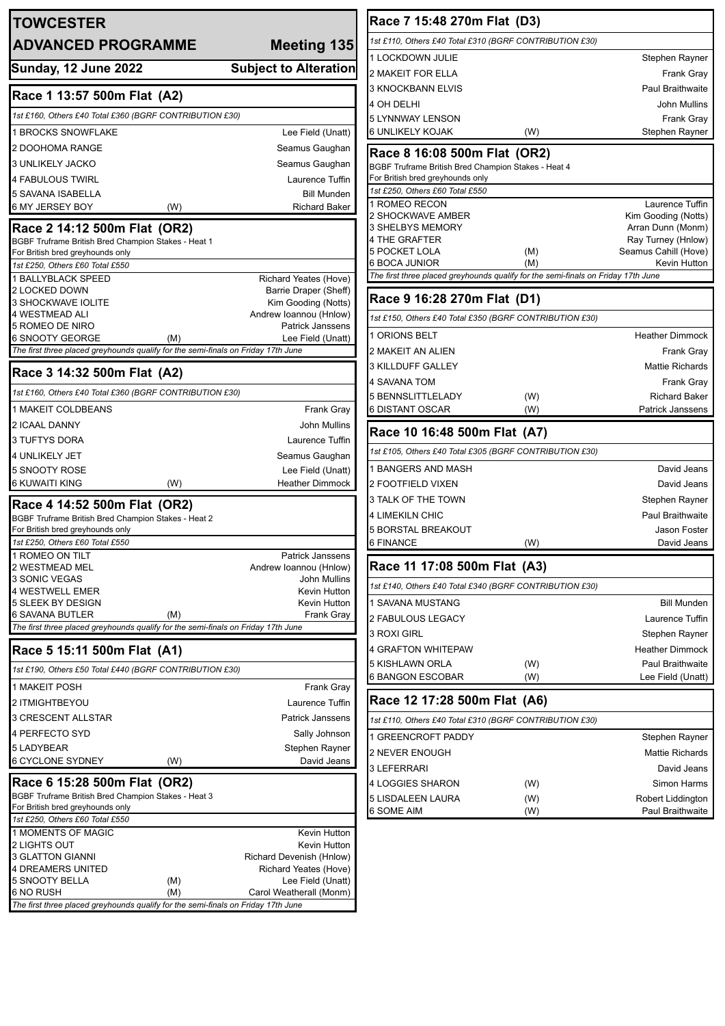| <b>TOWCESTER</b>                                                                                                        |                                                                                                                                                                                                                      |
|-------------------------------------------------------------------------------------------------------------------------|----------------------------------------------------------------------------------------------------------------------------------------------------------------------------------------------------------------------|
| <b>ADVANCED PROGRAMME</b>                                                                                               | <b>Meeting 135</b>                                                                                                                                                                                                   |
| <b>Sunday, 12 June 2022</b>                                                                                             | <b>Subject to Alteration</b>                                                                                                                                                                                         |
| Race 1 13:57 500m Flat (A2)                                                                                             |                                                                                                                                                                                                                      |
| 1st £160, Others £40 Total £360 (BGRF CONTRIBUTION £30)                                                                 |                                                                                                                                                                                                                      |
| <b>1 BROCKS SNOWFLAKE</b>                                                                                               | Lee Field (Unatt)                                                                                                                                                                                                    |
| 2 DOOHOMA RANGE                                                                                                         | Seamus Gaughan                                                                                                                                                                                                       |
| <b>3 UNLIKELY JACKO</b>                                                                                                 | Seamus Gaughan                                                                                                                                                                                                       |
| 4 FABULOUS TWIRL                                                                                                        | Laurence Tuffin                                                                                                                                                                                                      |
| <b>5 SAVANA ISABELLA</b>                                                                                                | <b>Bill Munden</b>                                                                                                                                                                                                   |
| 6 MY JERSEY BOY<br>(W)                                                                                                  | <b>Richard Baker</b>                                                                                                                                                                                                 |
| Race 2 14:12 500m Flat (OR2)<br>BGBF Truframe British Bred Champion Stakes - Heat 1<br>For British bred greyhounds only |                                                                                                                                                                                                                      |
| 1st £250, Others £60 Total £550                                                                                         |                                                                                                                                                                                                                      |
| 1 BALLYBLACK SPEED<br>2 LOCKED DOWN                                                                                     | Richard Yeates (Hove)<br>Barrie Draper (Sheff)                                                                                                                                                                       |
| <b>3 SHOCKWAVE IOLITE</b>                                                                                               | Kim Gooding (Notts)                                                                                                                                                                                                  |
| 4 WESTMEAD ALI                                                                                                          | Andrew Ioannou (Hnlow)                                                                                                                                                                                               |
| 5 ROMEO DE NIRO<br>6 SNOOTY GEORGE<br>(M)                                                                               | Patrick Janssens<br>Lee Field (Unatt)                                                                                                                                                                                |
| The first three placed greyhounds qualify for the semi-finals on Friday 17th June                                       |                                                                                                                                                                                                                      |
| Race 3 14:32 500m Flat (A2)                                                                                             |                                                                                                                                                                                                                      |
| 1st £160, Others £40 Total £360 (BGRF CONTRIBUTION £30)                                                                 |                                                                                                                                                                                                                      |
| 1 MAKEIT COLDBEANS                                                                                                      | Frank Gray                                                                                                                                                                                                           |
| 2 ICAAL DANNY                                                                                                           | John Mullins                                                                                                                                                                                                         |
| <b>3 TUFTYS DORA</b>                                                                                                    | Laurence Tuffin                                                                                                                                                                                                      |
| <b>4 UNLIKELY JET</b>                                                                                                   | Seamus Gaughan                                                                                                                                                                                                       |
| 5 SNOOTY ROSE                                                                                                           | Lee Field (Unatt)                                                                                                                                                                                                    |
| 6 KUWAITI KING<br>(W)                                                                                                   | <b>Heather Dimmock</b>                                                                                                                                                                                               |
| Race 4 14:52 500m Flat (OR2)                                                                                            |                                                                                                                                                                                                                      |
| BGBF Truframe British Bred Champion Stakes - Heat 2                                                                     |                                                                                                                                                                                                                      |
| For British bred greyhounds only<br>1st £250, Others £60 Total £550                                                     |                                                                                                                                                                                                                      |
| 1 ROMEO ON TII T                                                                                                        | Patrick Janssens                                                                                                                                                                                                     |
| 2 WESTMEAD MEL                                                                                                          | Andrew Ioannou (Hnlow)                                                                                                                                                                                               |
| 3 SONIC VEGAS                                                                                                           | John Mullins                                                                                                                                                                                                         |
| <b>4 WESTWELL EMER</b><br>5 SLEEK BY DESIGN                                                                             | Kevin Hutton<br>Kevin Hutton                                                                                                                                                                                         |
| <b>6 SAVANA BUTLER</b><br>(M)                                                                                           | Frank Gray                                                                                                                                                                                                           |
| The first three placed greyhounds qualify for the semi-finals on Friday 17th June                                       |                                                                                                                                                                                                                      |
|                                                                                                                         |                                                                                                                                                                                                                      |
| Race 5 15:11 500m Flat (A1)                                                                                             |                                                                                                                                                                                                                      |
| 1st £190, Others £50 Total £440 (BGRF CONTRIBUTION £30)                                                                 |                                                                                                                                                                                                                      |
| 1 MAKEIT POSH                                                                                                           |                                                                                                                                                                                                                      |
| 2 ITMIGHTBEYOU                                                                                                          |                                                                                                                                                                                                                      |
| 3 CRESCENT ALLSTAR                                                                                                      |                                                                                                                                                                                                                      |
| 4 PERFECTO SYD                                                                                                          |                                                                                                                                                                                                                      |
|                                                                                                                         |                                                                                                                                                                                                                      |
| 5 LADYBEAR<br>6 CYCLONE SYDNEY<br>(W)                                                                                   |                                                                                                                                                                                                                      |
| Race 6 15:28 500m Flat (OR2)                                                                                            |                                                                                                                                                                                                                      |
| BGBF Truframe British Bred Champion Stakes - Heat 3                                                                     |                                                                                                                                                                                                                      |
| For British bred greyhounds only<br>1st £250, Others £60 Total £550                                                     |                                                                                                                                                                                                                      |
| 1 MOMENTS OF MAGIC                                                                                                      |                                                                                                                                                                                                                      |
| 2 LIGHTS OUT                                                                                                            |                                                                                                                                                                                                                      |
| <b>3 GLATTON GIANNI</b>                                                                                                 |                                                                                                                                                                                                                      |
| 4 DREAMERS UNITED<br>5 SNOOTY BELLA<br>(M)                                                                              | Frank Gray<br>Laurence Tuffin<br><b>Patrick Janssens</b><br>Sally Johnson<br>Stephen Rayner<br>David Jeans<br>Kevin Hutton<br>Kevin Hutton<br>Richard Devenish (Hnlow)<br>Richard Yeates (Hove)<br>Lee Field (Unatt) |

| Race 7 15:48 270m Flat (D3)                                                       |            |                                            |  |  |
|-----------------------------------------------------------------------------------|------------|--------------------------------------------|--|--|
| 1st £110, Others £40 Total £310 (BGRF CONTRIBUTION £30)                           |            |                                            |  |  |
| <b>1 LOCKDOWN JULIE</b>                                                           |            | Stephen Rayner                             |  |  |
| 2 MAKEIT FOR ELLA                                                                 |            | Frank Gray                                 |  |  |
| 3 KNOCKBANN ELVIS                                                                 |            | <b>Paul Braithwaite</b>                    |  |  |
| 4 OH DELHI                                                                        |            | John Mullins                               |  |  |
| 5 LYNNWAY LENSON                                                                  |            | Frank Gray                                 |  |  |
| 6 UNLIKELY KOJAK                                                                  | (W)        | Stephen Rayner                             |  |  |
| Race 8 16:08 500m Flat (OR2)                                                      |            |                                            |  |  |
| BGBF Truframe British Bred Champion Stakes - Heat 4                               |            |                                            |  |  |
| For British bred greyhounds only<br>1st £250, Others £60 Total £550               |            |                                            |  |  |
| 1 ROMEO RECON                                                                     |            | Laurence Tuffin                            |  |  |
| 2 SHOCKWAVE AMBER                                                                 |            | Kim Gooding (Notts)                        |  |  |
| 3 SHELBYS MEMORY                                                                  |            | Arran Dunn (Monm)                          |  |  |
| 4 THE GRAFTER<br>5 POCKET LOLA                                                    | (M)        | Ray Turney (Hnlow)<br>Seamus Cahill (Hove) |  |  |
| 6 BOCA JUNIOR                                                                     | (M)        | Kevin Hutton                               |  |  |
| The first three placed greyhounds qualify for the semi-finals on Friday 17th June |            |                                            |  |  |
| Race 9 16:28 270m Flat (D1)                                                       |            |                                            |  |  |
| 1st £150, Others £40 Total £350 (BGRF CONTRIBUTION £30)                           |            |                                            |  |  |
| 1 ORIONS BELT                                                                     |            | <b>Heather Dimmock</b>                     |  |  |
| 2 MAKEIT AN ALIEN                                                                 |            | Frank Gray                                 |  |  |
| 3 KILLDUFF GALLEY                                                                 |            | <b>Mattie Richards</b>                     |  |  |
| 4 SAVANA TOM                                                                      |            | Frank Gray                                 |  |  |
| 5 BENNSLITTLELADY                                                                 | (W)        | <b>Richard Baker</b>                       |  |  |
| 6 DISTANT OSCAR                                                                   | (W)        | <b>Patrick Janssens</b>                    |  |  |
|                                                                                   |            |                                            |  |  |
| Race 10 16:48 500m Flat (A7)                                                      |            |                                            |  |  |
| 1st £105, Others £40 Total £305 (BGRF CONTRIBUTION £30)                           |            |                                            |  |  |
| 1 BANGERS AND MASH                                                                |            | David Jeans                                |  |  |
| 2 FOOTFIELD VIXEN                                                                 |            | David Jeans                                |  |  |
| 3 TALK OF THE TOWN                                                                |            | Stephen Rayner                             |  |  |
| 4 LIMEKILN CHIC                                                                   |            | <b>Paul Braithwaite</b>                    |  |  |
| 5 BORSTAL BREAKOUT                                                                |            | Jason Foster                               |  |  |
| 6 FINANCE                                                                         | (W)        | David Jeans                                |  |  |
| Race 11 17:08 500m Flat (A3)                                                      |            |                                            |  |  |
| 1st £140, Others £40 Total £340 (BGRF CONTRIBUTION £30)                           |            |                                            |  |  |
| 1 SAVANA MUSTANG                                                                  |            | <b>Bill Munden</b>                         |  |  |
| 2 FABULOUS LEGACY                                                                 |            | Laurence Tuffin                            |  |  |
| 3 ROXI GIRL                                                                       |            | Stephen Rayner                             |  |  |
| 4 GRAFTON WHITEPAW                                                                |            | <b>Heather Dimmock</b>                     |  |  |
| 5 KISHLAWN ORLA                                                                   | (W)        | <b>Paul Braithwaite</b>                    |  |  |
| 6 BANGON ESCOBAR                                                                  | (W)        | Lee Field (Unatt)                          |  |  |
| Race 12 17:28 500m Flat (A6)                                                      |            |                                            |  |  |
| 1st £110, Others £40 Total £310 (BGRF CONTRIBUTION £30)                           |            |                                            |  |  |
| 1 GREENCROFT PADDY                                                                |            | Stephen Rayner                             |  |  |
| 2 NEVER ENOUGH                                                                    |            | <b>Mattie Richards</b>                     |  |  |
| 3 LEFERRARI                                                                       |            | David Jeans                                |  |  |
| 4 LOGGIES SHARON                                                                  | (W)        | Simon Harms                                |  |  |
| 5 LISDALEEN LAURA<br>6 SOME AIM                                                   | (W)<br>(W) | Robert Liddington<br>Paul Braithwaite      |  |  |